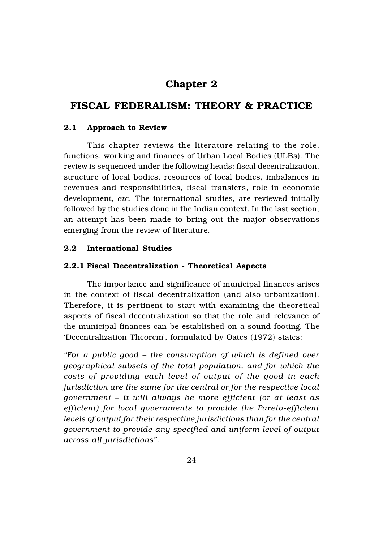# Chapter 2

# FISCAL FEDERALISM: THEORY & PRACTICE

# 2.1 Approach to Review

This chapter reviews the literature relating to the role, functions, working and finances of Urban Local Bodies (ULBs). The review is sequenced under the following heads: fiscal decentralization, structure of local bodies, resources of local bodies, imbalances in revenues and responsibilities, fiscal transfers, role in economic development, *etc.* The international studies, are reviewed initially followed by the studies done in the Indian context. In the last section, an attempt has been made to bring out the major observations emerging from the review of literature.

# 2.2 International Studies

## 2.2.1 Fiscal Decentralization - Theoretical Aspects

The importance and significance of municipal finances arises in the context of fiscal decentralization (and also urbanization). Therefore, it is pertinent to start with examining the theoretical aspects of fiscal decentralization so that the role and relevance of the municipal finances can be established on a sound footing. The 'Decentralization Theorem', formulated by Oates (1972) states:

*"For a public good – the consumption of which is defined over geographical subsets of the total population, and for which the costs of providing each level of output of the good in each jurisdiction are the same for the central or for the respective local government – it will always be more efficient (or at least as efficient) for local governments to provide the Pareto-efficient levels of output for their respective jurisdictions than for the central government to provide any specified and uniform level of output across all jurisdictions".*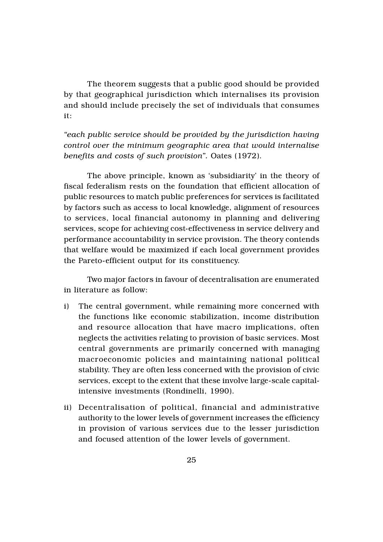The theorem suggests that a public good should be provided by that geographical jurisdiction which internalises its provision and should include precisely the set of individuals that consumes it:

*"each public service should be provided by the jurisdiction having control over the minimum geographic area that would internalise benefits and costs of such provision".* Oates (1972).

The above principle, known as 'subsidiarity' in the theory of fiscal federalism rests on the foundation that efficient allocation of public resources to match public preferences for services is facilitated by factors such as access to local knowledge, alignment of resources to services, local financial autonomy in planning and delivering services, scope for achieving cost-effectiveness in service delivery and performance accountability in service provision. The theory contends that welfare would be maximized if each local government provides the Pareto-efficient output for its constituency.

Two major factors in favour of decentralisation are enumerated in literature as follow:

- i) The central government, while remaining more concerned with the functions like economic stabilization, income distribution and resource allocation that have macro implications, often neglects the activities relating to provision of basic services. Most central governments are primarily concerned with managing macroeconomic policies and maintaining national political stability. They are often less concerned with the provision of civic services, except to the extent that these involve large-scale capitalintensive investments (Rondinelli, 1990).
- ii) Decentralisation of political, financial and administrative authority to the lower levels of government increases the efficiency in provision of various services due to the lesser jurisdiction and focused attention of the lower levels of government.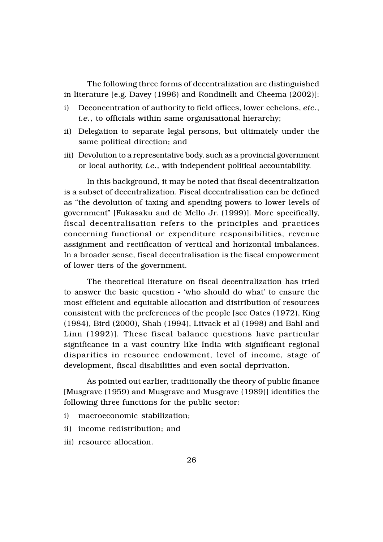The following three forms of decentralization are distinguished in literature [e.g. Davey (1996) and Rondinelli and Cheema (2002)]:

- i) Deconcentration of authority to field offices, lower echelons, *etc.*, *i.e.*, to officials within same organisational hierarchy;
- ii) Delegation to separate legal persons, but ultimately under the same political direction; and
- iii) Devolution to a representative body, such as a provincial government or local authority, *i.e.*, with independent political accountability.

In this background, it may be noted that fiscal decentralization is a subset of decentralization. Fiscal decentralisation can be defined as "the devolution of taxing and spending powers to lower levels of government" [Fukasaku and de Mello Jr. (1999)]. More specifically, fiscal decentralisation refers to the principles and practices concerning functional or expenditure responsibilities, revenue assignment and rectification of vertical and horizontal imbalances. In a broader sense, fiscal decentralisation is the fiscal empowerment of lower tiers of the government.

The theoretical literature on fiscal decentralization has tried to answer the basic question - 'who should do what' to ensure the most efficient and equitable allocation and distribution of resources consistent with the preferences of the people [see Oates (1972), King (1984), Bird (2000), Shah (1994), Litvack et al (1998) and Bahl and Linn (1992)]. These fiscal balance questions have particular significance in a vast country like India with significant regional disparities in resource endowment, level of income, stage of development, fiscal disabilities and even social deprivation.

As pointed out earlier, traditionally the theory of public finance [Musgrave (1959) and Musgrave and Musgrave (1989)] identifies the following three functions for the public sector:

- i) macroeconomic stabilization;
- ii) income redistribution; and
- iii) resource allocation.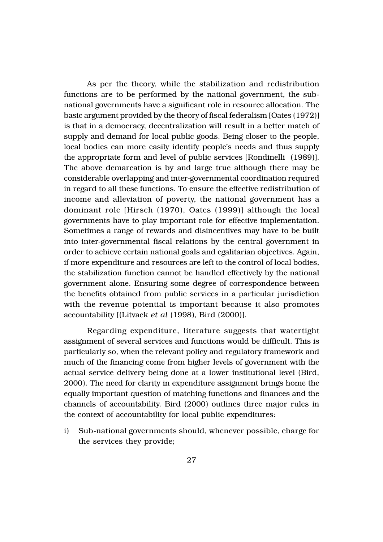As per the theory, while the stabilization and redistribution functions are to be performed by the national government, the subnational governments have a significant role in resource allocation. The basic argument provided by the theory of fiscal federalism [Oates (1972)] is that in a democracy, decentralization will result in a better match of supply and demand for local public goods. Being closer to the people, local bodies can more easily identify people's needs and thus supply the appropriate form and level of public services [Rondinelli (1989)]. The above demarcation is by and large true although there may be considerable overlapping and inter-governmental coordination required in regard to all these functions. To ensure the effective redistribution of income and alleviation of poverty, the national government has a dominant role [Hirsch (1970), Oates (1999)] although the local governments have to play important role for effective implementation. Sometimes a range of rewards and disincentives may have to be built into inter-governmental fiscal relations by the central government in order to achieve certain national goals and egalitarian objectives. Again, if more expenditure and resources are left to the control of local bodies, the stabilization function cannot be handled effectively by the national government alone. Ensuring some degree of correspondence between the benefits obtained from public services in a particular jurisdiction with the revenue potential is important because it also promotes accountability [(Litvack *et al* (1998), Bird (2000)].

Regarding expenditure, literature suggests that watertight assignment of several services and functions would be difficult. This is particularly so, when the relevant policy and regulatory framework and much of the financing come from higher levels of government with the actual service delivery being done at a lower institutional level (Bird, 2000). The need for clarity in expenditure assignment brings home the equally important question of matching functions and finances and the channels of accountability. Bird (2000) outlines three major rules in the context of accountability for local public expenditures:

i) Sub-national governments should, whenever possible, charge for the services they provide;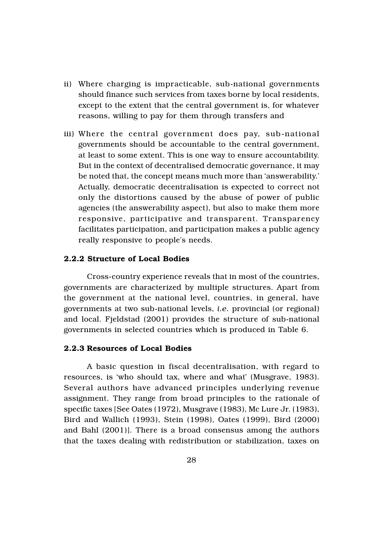- ii) Where charging is impracticable, sub-national governments should finance such services from taxes borne by local residents, except to the extent that the central government is, for whatever reasons, willing to pay for them through transfers and
- iii) Where the central government does pay, sub-national governments should be accountable to the central government, at least to some extent. This is one way to ensure accountability. But in the context of decentralised democratic governance, it may be noted that, the concept means much more than 'answerability.' Actually, democratic decentralisation is expected to correct not only the distortions caused by the abuse of power of public agencies (the answerability aspect), but also to make them more responsive, participative and transparent. Transparency facilitates participation, and participation makes a public agency really responsive to people's needs.

## 2.2.2 Structure of Local Bodies

Cross-country experience reveals that in most of the countries, governments are characterized by multiple structures. Apart from the government at the national level, countries, in general, have governments at two sub-national levels, *i.e.* provincial (or regional) and local. Fjeldstad (2001) provides the structure of sub-national governments in selected countries which is produced in Table 6.

#### 2.2.3 Resources of Local Bodies

A basic question in fiscal decentralisation, with regard to resources, is 'who should tax, where and what' (Musgrave, 1983). Several authors have advanced principles underlying revenue assignment. They range from broad principles to the rationale of specific taxes [See Oates (1972), Musgrave (1983), Mc Lure Jr. (1983), Bird and Wallich (1993), Stein (1998), Oates (1999), Bird (2000) and Bahl (2001)]. There is a broad consensus among the authors that the taxes dealing with redistribution or stabilization, taxes on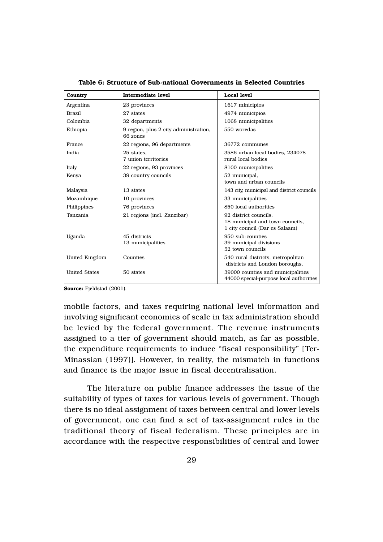| Country              | Intermediate level                                | Local level                                                                                |
|----------------------|---------------------------------------------------|--------------------------------------------------------------------------------------------|
| Argentina            | 23 provinces                                      | 1617 minicipios                                                                            |
| <b>Brazil</b>        | 27 states                                         | 4974 municipios                                                                            |
| Colombia             | 32 departments                                    | 1068 municipalities                                                                        |
| Ethiopia             | 9 region, plus 2 city administration,<br>66 zones | 550 woredas                                                                                |
| France               | 22 regions, 96 departments                        | 36772 communes                                                                             |
| India                | 25 states.<br>7 union territories                 | 3586 urban local bodies, 234078<br>rural local bodies                                      |
| Italy                | 22 regions, 93 provinces                          | 8100 municipalities                                                                        |
| Kenya                | 39 country councils                               | 52 municipal,<br>town and urban councils                                                   |
| Malaysia             | 13 states                                         | 143 city, municipal and district councils                                                  |
| Mozambique           | 10 provinces                                      | 33 municipalities                                                                          |
| Philippines          | 76 provinces                                      | 850 local authorities                                                                      |
| Tanzania             | 21 regions (incl. Zanzibar)                       | 92 district councils.<br>18 municipal and town councils,<br>1 city council (Dar es Salaam) |
| Uganda               | 45 districts<br>13 municipalities                 | 950 sub-counties<br>39 municipal divisions<br>52 town councils                             |
| United Kingdom       | Counties                                          | 540 rural districts, metropolitan<br>districts and London boroughs.                        |
| <b>United States</b> | 50 states                                         | 39000 counties and municipalities<br>44000 special-purpose local authorities               |

Table 6: Structure of Sub-national Governments in Selected Countries

Source: Fjeldstad (2001).

mobile factors, and taxes requiring national level information and involving significant economies of scale in tax administration should be levied by the federal government. The revenue instruments assigned to a tier of government should match, as far as possible, the expenditure requirements to induce "fiscal responsibility" [Ter-Minassian (1997)]. However, in reality, the mismatch in functions and finance is the major issue in fiscal decentralisation.

The literature on public finance addresses the issue of the suitability of types of taxes for various levels of government. Though there is no ideal assignment of taxes between central and lower levels of government, one can find a set of tax-assignment rules in the traditional theory of fiscal federalism. These principles are in accordance with the respective responsibilities of central and lower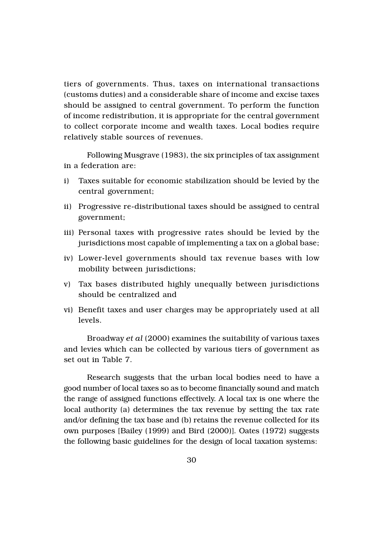tiers of governments. Thus, taxes on international transactions (customs duties) and a considerable share of income and excise taxes should be assigned to central government. To perform the function of income redistribution, it is appropriate for the central government to collect corporate income and wealth taxes. Local bodies require relatively stable sources of revenues.

Following Musgrave (1983), the six principles of tax assignment in a federation are:

- i) Taxes suitable for economic stabilization should be levied by the central government;
- ii) Progressive re-distributional taxes should be assigned to central government;
- iii) Personal taxes with progressive rates should be levied by the jurisdictions most capable of implementing a tax on a global base;
- iv) Lower-level governments should tax revenue bases with low mobility between jurisdictions;
- v) Tax bases distributed highly unequally between jurisdictions should be centralized and
- vi) Benefit taxes and user charges may be appropriately used at all levels.

Broadway *et al* (2000) examines the suitability of various taxes and levies which can be collected by various tiers of government as set out in Table 7.

Research suggests that the urban local bodies need to have a good number of local taxes so as to become financially sound and match the range of assigned functions effectively. A local tax is one where the local authority (a) determines the tax revenue by setting the tax rate and/or defining the tax base and (b) retains the revenue collected for its own purposes [Bailey (1999) and Bird (2000)]. Oates (1972) suggests the following basic guidelines for the design of local taxation systems: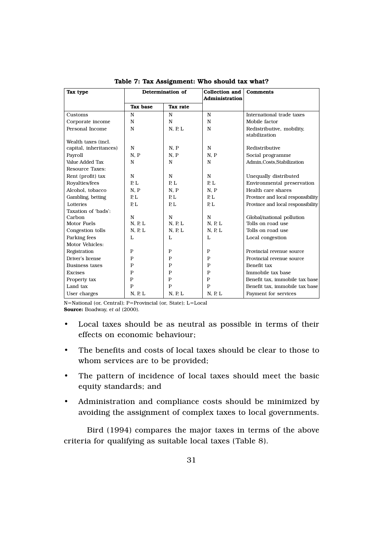| Tax type               | Determination of |                | <b>Collection and</b><br><b>Administration</b> | <b>Comments</b>                            |
|------------------------|------------------|----------------|------------------------------------------------|--------------------------------------------|
|                        | Tax base         | Tax rate       |                                                |                                            |
| Customs                | N                | N              | $\mathbf N$                                    | International trade taxes                  |
| Corporate income       | $\mathbf N$      | N              | N                                              | Mobile factor                              |
| Personal Income        | N                | N, P, L        | N                                              | Redistributive, mobility,<br>stabilization |
| Wealth taxes (incl.    |                  |                |                                                |                                            |
| capital, inheritances) | N                | N, P           | N                                              | Redistributive                             |
| Payroll                | N, P             | N. P           | N. P                                           | Social programme                           |
| Value Added Tax        | N                | N              | N                                              | Admin, Costs, Stabilization                |
| <b>Resource Taxes:</b> |                  |                |                                                |                                            |
| Rent (profit) tax      | N                | N              | N                                              | Unequally distributed                      |
| Royalties/fees         | P.L              | R <sub>L</sub> | R <sub>L</sub>                                 | Environmental preservation                 |
| Alcohol, tobacco       | N, P             | N, P           | N. P                                           | Health care shares                         |
| Gambling, betting      | P, L             | P.L            | P.L                                            | Province and local responsibility          |
| Lotteries              | P.L              | P.L            | R <sub>L</sub>                                 | Province and local responsibility          |
| Taxation of 'bads':    |                  |                |                                                |                                            |
| Carbon                 | N                | N              | N                                              | Global/national pollution                  |
| Motor Fuels            | N, P, L          | N, P, L        | N, P, L                                        | Tolls on road use                          |
| Congestion tolls       | N, P, L          | N, P, L        | N, P, L                                        | Tolls on road use                          |
| Parking fees           | L                | L              | L                                              | Local congestion                           |
| Motor Vehicles:        |                  |                |                                                |                                            |
| Registration           | $\mathbf{P}$     | $\mathbf P$    | $\mathbf P$                                    | Provincial revenue source                  |
| Driver's license       | $\mathbf{P}$     | P              | P                                              | Provincial revenue source                  |
| <b>Business taxes</b>  | P                | P              | P                                              | Benefit tax                                |
| <b>Excises</b>         | $\mathbf{P}$     | P              | $\mathbf P$                                    | Immobile tax base                          |
| Property tax           | $\mathbf{P}$     | $\mathbf{P}$   | $\mathbf P$                                    | Benefit tax, immobile tax base             |
| Land tax               | $\mathbf{P}$     | $\mathbf{P}$   | $\mathbf{P}$                                   | Benefit tax, immobile tax base             |
| User charges           | N, P, L          | N, P, L        | N, P, L                                        | Payment for services                       |

Table 7: Tax Assignment: Who should tax what?

N=National (or, Central); P=Provincial (or, State); L=Local Source: Boadway, e*t al* (2000).

- Local taxes should be as neutral as possible in terms of their effects on economic behaviour;
- The benefits and costs of local taxes should be clear to those to whom services are to be provided;
- The pattern of incidence of local taxes should meet the basic equity standards; and
- Administration and compliance costs should be minimized by avoiding the assignment of complex taxes to local governments.

Bird (1994) compares the major taxes in terms of the above criteria for qualifying as suitable local taxes (Table 8).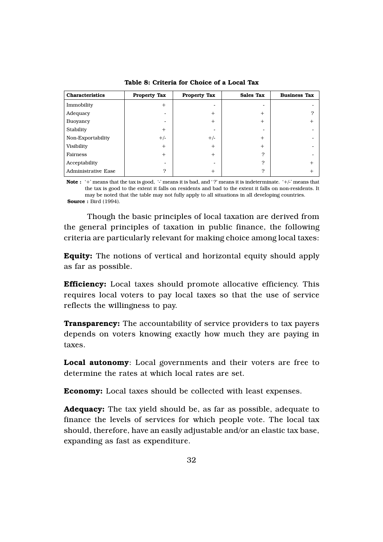| <b>Characteristics</b>     | <b>Property Tax</b> | <b>Property Tax</b> | <b>Sales Tax</b>         | <b>Business Tax</b> |
|----------------------------|---------------------|---------------------|--------------------------|---------------------|
| Immobility                 | $+$                 | -                   | $\overline{\phantom{a}}$ |                     |
| Adequacy                   |                     | $+$                 | $+$                      | ≘                   |
| Buoyancy                   |                     | $+$                 | $+$                      | $^+$                |
| Stability                  | $+$                 | -                   | $\overline{\phantom{a}}$ |                     |
| Non-Exportability          | $+/-$               | $+/-$               | $+$                      |                     |
| Visibility                 | $+$                 | $+$                 | $+$                      |                     |
| Fairness                   | $+$                 | $+$                 | ?                        |                     |
| Acceptability              |                     |                     | $\mathcal{P}$            | $\overline{+}$      |
| <b>Administrative Ease</b> | 2                   | $^{+}$              | ?                        | ┿                   |

Table 8: Criteria for Choice of a Local Tax

Note : '+' means that the tax is good, '-' means it is bad, and '?' means it is indeterminate. '+/-' means that the tax is good to the extent it falls on residents and bad to the extent it falls on non-residents. It may be noted that the table may not fully apply to all situations in all developing countries. Source : Bird (1994).

Though the basic principles of local taxation are derived from the general principles of taxation in public finance, the following criteria are particularly relevant for making choice among local taxes:

Equity: The notions of vertical and horizontal equity should apply as far as possible.

Efficiency: Local taxes should promote allocative efficiency. This requires local voters to pay local taxes so that the use of service reflects the willingness to pay.

**Transparency:** The accountability of service providers to tax payers depends on voters knowing exactly how much they are paying in taxes.

Local autonomy: Local governments and their voters are free to determine the rates at which local rates are set.

Economy: Local taxes should be collected with least expenses.

Adequacy: The tax yield should be, as far as possible, adequate to finance the levels of services for which people vote. The local tax should, therefore, have an easily adjustable and/or an elastic tax base, expanding as fast as expenditure.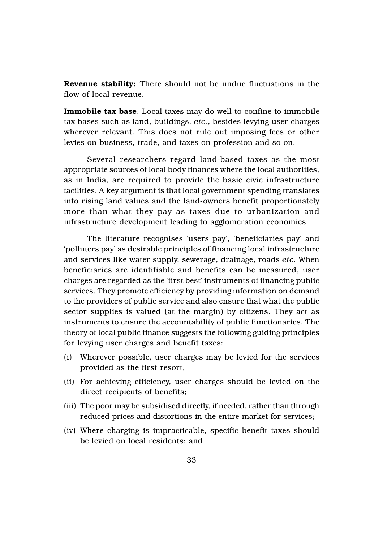Revenue stability: There should not be undue fluctuations in the flow of local revenue.

Immobile tax base: Local taxes may do well to confine to immobile tax bases such as land, buildings, *etc.*, besides levying user charges wherever relevant. This does not rule out imposing fees or other levies on business, trade, and taxes on profession and so on.

Several researchers regard land-based taxes as the most appropriate sources of local body finances where the local authorities, as in India, are required to provide the basic civic infrastructure facilities. A key argument is that local government spending translates into rising land values and the land-owners benefit proportionately more than what they pay as taxes due to urbanization and infrastructure development leading to agglomeration economies.

The literature recognises 'users pay', 'beneficiaries pay' and 'polluters pay' as desirable principles of financing local infrastructure and services like water supply, sewerage, drainage, roads *etc.* When beneficiaries are identifiable and benefits can be measured, user charges are regarded as the 'first best' instruments of financing public services. They promote efficiency by providing information on demand to the providers of public service and also ensure that what the public sector supplies is valued (at the margin) by citizens. They act as instruments to ensure the accountability of public functionaries. The theory of local public finance suggests the following guiding principles for levying user charges and benefit taxes:

- (i) Wherever possible, user charges may be levied for the services provided as the first resort;
- (ii) For achieving efficiency, user charges should be levied on the direct recipients of benefits;
- (iii) The poor may be subsidised directly, if needed, rather than through reduced prices and distortions in the entire market for services;
- (iv) Where charging is impracticable, specific benefit taxes should be levied on local residents; and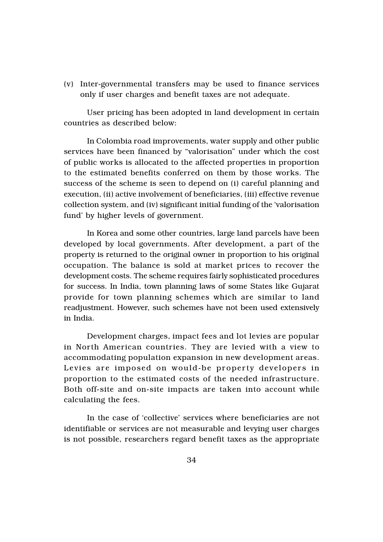(v) Inter-governmental transfers may be used to finance services only if user charges and benefit taxes are not adequate.

User pricing has been adopted in land development in certain countries as described below:

In Colombia road improvements, water supply and other public services have been financed by "valorisation" under which the cost of public works is allocated to the affected properties in proportion to the estimated benefits conferred on them by those works. The success of the scheme is seen to depend on (i) careful planning and execution, (ii) active involvement of beneficiaries, (iii) effective revenue collection system, and (iv) significant initial funding of the 'valorisation fund' by higher levels of government.

In Korea and some other countries, large land parcels have been developed by local governments. After development, a part of the property is returned to the original owner in proportion to his original occupation. The balance is sold at market prices to recover the development costs. The scheme requires fairly sophisticated procedures for success. In India, town planning laws of some States like Gujarat provide for town planning schemes which are similar to land readjustment. However, such schemes have not been used extensively in India.

Development charges, impact fees and lot levies are popular in North American countries. They are levied with a view to accommodating population expansion in new development areas. Levies are imposed on would-be property developers in proportion to the estimated costs of the needed infrastructure. Both off-site and on-site impacts are taken into account while calculating the fees.

In the case of 'collective' services where beneficiaries are not identifiable or services are not measurable and levying user charges is not possible, researchers regard benefit taxes as the appropriate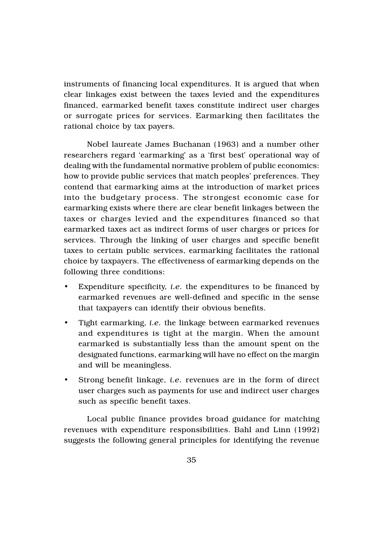instruments of financing local expenditures. It is argued that when clear linkages exist between the taxes levied and the expenditures financed, earmarked benefit taxes constitute indirect user charges or surrogate prices for services. Earmarking then facilitates the rational choice by tax payers.

Nobel laureate James Buchanan (1963) and a number other researchers regard 'earmarking' as a 'first best' operational way of dealing with the fundamental normative problem of public economics: how to provide public services that match peoples' preferences. They contend that earmarking aims at the introduction of market prices into the budgetary process. The strongest economic case for earmarking exists where there are clear benefit linkages between the taxes or charges levied and the expenditures financed so that earmarked taxes act as indirect forms of user charges or prices for services. Through the linking of user charges and specific benefit taxes to certain public services, earmarking facilitates the rational choice by taxpayers. The effectiveness of earmarking depends on the following three conditions:

- Expenditure specificity, *i.e.* the expenditures to be financed by earmarked revenues are well-defined and specific in the sense that taxpayers can identify their obvious benefits.
- Tight earmarking, *i.e.* the linkage between earmarked revenues and expenditures is tight at the margin. When the amount earmarked is substantially less than the amount spent on the designated functions, earmarking will have no effect on the margin and will be meaningless.
- Strong benefit linkage, *i.e.* revenues are in the form of direct user charges such as payments for use and indirect user charges such as specific benefit taxes.

Local public finance provides broad guidance for matching revenues with expenditure responsibilities. Bahl and Linn (1992) suggests the following general principles for identifying the revenue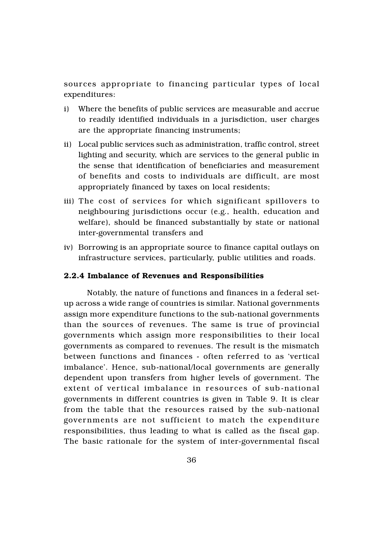sources appropriate to financing particular types of local expenditures:

- i) Where the benefits of public services are measurable and accrue to readily identified individuals in a jurisdiction, user charges are the appropriate financing instruments;
- ii) Local public services such as administration, traffic control, street lighting and security, which are services to the general public in the sense that identification of beneficiaries and measurement of benefits and costs to individuals are difficult, are most appropriately financed by taxes on local residents;
- iii) The cost of services for which significant spillovers to neighbouring jurisdictions occur (e.g., health, education and welfare), should be financed substantially by state or national inter-governmental transfers and
- iv) Borrowing is an appropriate source to finance capital outlays on infrastructure services, particularly, public utilities and roads.

#### 2.2.4 Imbalance of Revenues and Responsibilities

Notably, the nature of functions and finances in a federal setup across a wide range of countries is similar. National governments assign more expenditure functions to the sub-national governments than the sources of revenues. The same is true of provincial governments which assign more responsibilities to their local governments as compared to revenues. The result is the mismatch between functions and finances - often referred to as 'vertical imbalance'. Hence, sub-national/local governments are generally dependent upon transfers from higher levels of government. The extent of vertical imbalance in resources of sub-national governments in different countries is given in Table 9. It is clear from the table that the resources raised by the sub-national governments are not sufficient to match the expenditure responsibilities, thus leading to what is called as the fiscal gap. The basic rationale for the system of inter-governmental fiscal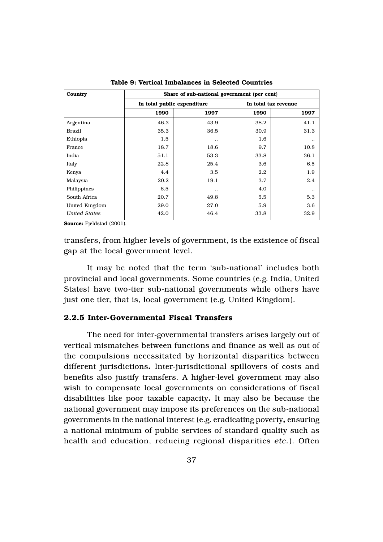| Country              | Share of sub-national government (per cent) |                      |      |                      |  |
|----------------------|---------------------------------------------|----------------------|------|----------------------|--|
|                      | In total public expenditure                 |                      |      | In total tax revenue |  |
|                      | 1990                                        | 1997                 | 1990 | 1997                 |  |
| Argentina            | 46.3                                        | 43.9                 | 38.2 | 41.1                 |  |
| Brazil               | 35.3                                        | 36.5                 | 30.9 | 31.3                 |  |
| Ethiopia             | 1.5                                         | $\ddot{\phantom{0}}$ | 1.6  |                      |  |
| France               | 18.7                                        | 18.6                 | 9.7  | 10.8                 |  |
| India                | 51.1                                        | 53.3                 | 33.8 | 36.1                 |  |
| Italy                | 22.8                                        | 25.4                 | 3.6  | 6.5                  |  |
| Kenya                | 4.4                                         | 3.5                  | 2.2  | 1.9                  |  |
| Malaysia             | 20.2                                        | 19.1                 | 3.7  | 2.4                  |  |
| Philippines          | 6.5                                         |                      | 4.0  |                      |  |
| South Africa         | 20.7                                        | 49.8                 | 5.5  | 5.3                  |  |
| United Kingdom       | 29.0                                        | 27.0                 | 5.9  | 3.6                  |  |
| <b>United States</b> | 42.0                                        | 46.4                 | 33.8 | 32.9                 |  |

Table 9: Vertical Imbalances in Selected Countries

Source: Fjeldstad (2001).

transfers, from higher levels of government, is the existence of fiscal gap at the local government level.

It may be noted that the term 'sub-national' includes both provincial and local governments. Some countries (e.g. India, United States) have two-tier sub-national governments while others have just one tier, that is, local government (e.g. United Kingdom).

## 2.2.5 Inter-Governmental Fiscal Transfers

The need for inter-governmental transfers arises largely out of vertical mismatches between functions and finance as well as out of the compulsions necessitated by horizontal disparities between different jurisdictions. Inter-jurisdictional spillovers of costs and benefits also justify transfers. A higher-level government may also wish to compensate local governments on considerations of fiscal disabilities like poor taxable capacity. It may also be because the national government may impose its preferences on the sub-national governments in the national interest (e.g. eradicating poverty, ensuring a national minimum of public services of standard quality such as health and education, reducing regional disparities *etc.*). Often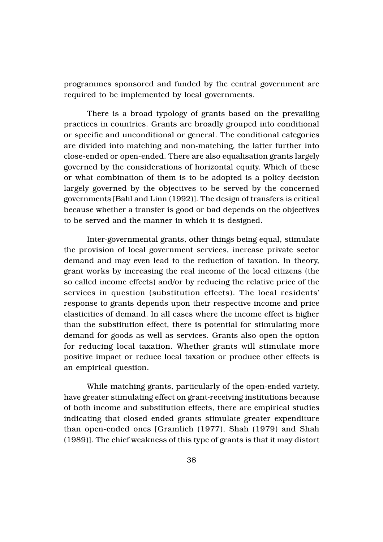programmes sponsored and funded by the central government are required to be implemented by local governments.

There is a broad typology of grants based on the prevailing practices in countries. Grants are broadly grouped into conditional or specific and unconditional or general. The conditional categories are divided into matching and non-matching, the latter further into close-ended or open-ended. There are also equalisation grants largely governed by the considerations of horizontal equity. Which of these or what combination of them is to be adopted is a policy decision largely governed by the objectives to be served by the concerned governments [Bahl and Linn (1992)]. The design of transfers is critical because whether a transfer is good or bad depends on the objectives to be served and the manner in which it is designed.

Inter-governmental grants, other things being equal, stimulate the provision of local government services, increase private sector demand and may even lead to the reduction of taxation. In theory, grant works by increasing the real income of the local citizens (the so called income effects) and/or by reducing the relative price of the services in question (substitution effects). The local residents' response to grants depends upon their respective income and price elasticities of demand. In all cases where the income effect is higher than the substitution effect, there is potential for stimulating more demand for goods as well as services. Grants also open the option for reducing local taxation. Whether grants will stimulate more positive impact or reduce local taxation or produce other effects is an empirical question.

While matching grants, particularly of the open-ended variety, have greater stimulating effect on grant-receiving institutions because of both income and substitution effects, there are empirical studies indicating that closed ended grants stimulate greater expenditure than open-ended ones [Gramlich (1977), Shah (1979) and Shah (1989)]. The chief weakness of this type of grants is that it may distort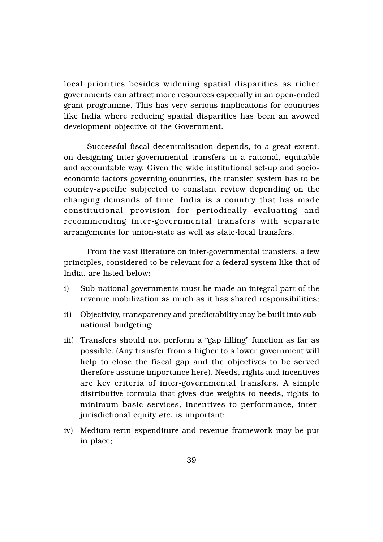local priorities besides widening spatial disparities as richer governments can attract more resources especially in an open-ended grant programme. This has very serious implications for countries like India where reducing spatial disparities has been an avowed development objective of the Government.

Successful fiscal decentralisation depends, to a great extent, on designing inter-governmental transfers in a rational, equitable and accountable way. Given the wide institutional set-up and socioeconomic factors governing countries, the transfer system has to be country-specific subjected to constant review depending on the changing demands of time. India is a country that has made constitutional provision for periodically evaluating and recommending inter-governmental transfers with separate arrangements for union-state as well as state-local transfers.

From the vast literature on inter-governmental transfers, a few principles, considered to be relevant for a federal system like that of India, are listed below:

- i) Sub-national governments must be made an integral part of the revenue mobilization as much as it has shared responsibilities;
- ii) Objectivity, transparency and predictability may be built into subnational budgeting;
- iii) Transfers should not perform a "gap filling" function as far as possible. (Any transfer from a higher to a lower government will help to close the fiscal gap and the objectives to be served therefore assume importance here). Needs, rights and incentives are key criteria of inter-governmental transfers. A simple distributive formula that gives due weights to needs, rights to minimum basic services, incentives to performance, interjurisdictional equity *etc.* is important;
- iv) Medium-term expenditure and revenue framework may be put in place;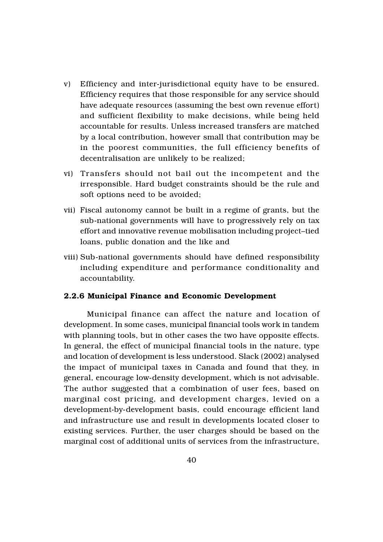- v) Efficiency and inter-jurisdictional equity have to be ensured. Efficiency requires that those responsible for any service should have adequate resources (assuming the best own revenue effort) and sufficient flexibility to make decisions, while being held accountable for results. Unless increased transfers are matched by a local contribution, however small that contribution may be in the poorest communities, the full efficiency benefits of decentralisation are unlikely to be realized;
- vi) Transfers should not bail out the incompetent and the irresponsible. Hard budget constraints should be the rule and soft options need to be avoided;
- vii) Fiscal autonomy cannot be built in a regime of grants, but the sub-national governments will have to progressively rely on tax effort and innovative revenue mobilisation including project–tied loans, public donation and the like and
- viii) Sub-national governments should have defined responsibility including expenditure and performance conditionality and accountability.

## 2.2.6 Municipal Finance and Economic Development

Municipal finance can affect the nature and location of development. In some cases, municipal financial tools work in tandem with planning tools, but in other cases the two have opposite effects. In general, the effect of municipal financial tools in the nature, type and location of development is less understood. Slack (2002) analysed the impact of municipal taxes in Canada and found that they, in general, encourage low-density development, which is not advisable. The author suggested that a combination of user fees, based on marginal cost pricing, and development charges, levied on a development-by-development basis, could encourage efficient land and infrastructure use and result in developments located closer to existing services. Further, the user charges should be based on the marginal cost of additional units of services from the infrastructure,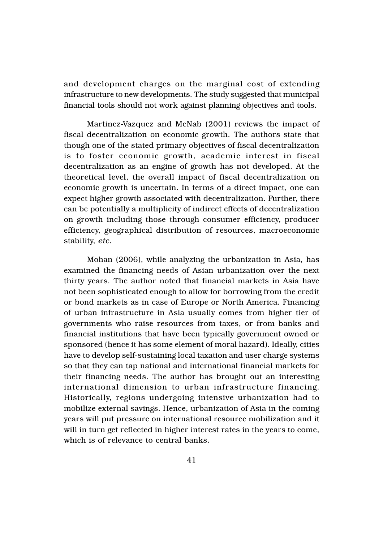and development charges on the marginal cost of extending infrastructure to new developments. The study suggested that municipal financial tools should not work against planning objectives and tools.

Martinez-Vazquez and McNab (2001) reviews the impact of fiscal decentralization on economic growth. The authors state that though one of the stated primary objectives of fiscal decentralization is to foster economic growth, academic interest in fiscal decentralization as an engine of growth has not developed. At the theoretical level, the overall impact of fiscal decentralization on economic growth is uncertain. In terms of a direct impact, one can expect higher growth associated with decentralization. Further, there can be potentially a multiplicity of indirect effects of decentralization on growth including those through consumer efficiency, producer efficiency, geographical distribution of resources, macroeconomic stability, *etc.*

Mohan (2006), while analyzing the urbanization in Asia, has examined the financing needs of Asian urbanization over the next thirty years. The author noted that financial markets in Asia have not been sophisticated enough to allow for borrowing from the credit or bond markets as in case of Europe or North America. Financing of urban infrastructure in Asia usually comes from higher tier of governments who raise resources from taxes, or from banks and financial institutions that have been typically government owned or sponsored (hence it has some element of moral hazard). Ideally, cities have to develop self-sustaining local taxation and user charge systems so that they can tap national and international financial markets for their financing needs. The author has brought out an interesting international dimension to urban infrastructure financing. Historically, regions undergoing intensive urbanization had to mobilize external savings. Hence, urbanization of Asia in the coming years will put pressure on international resource mobilization and it will in turn get reflected in higher interest rates in the years to come, which is of relevance to central banks.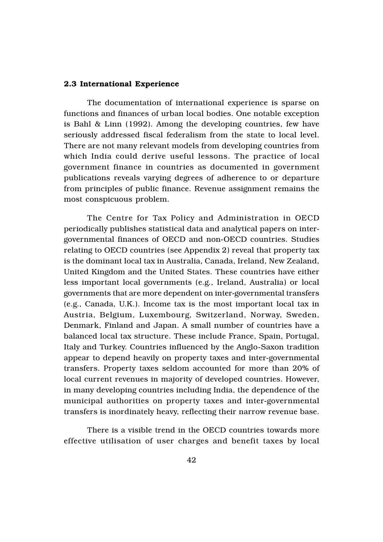#### 2.3 International Experience

The documentation of international experience is sparse on functions and finances of urban local bodies. One notable exception is Bahl & Linn (1992). Among the developing countries, few have seriously addressed fiscal federalism from the state to local level. There are not many relevant models from developing countries from which India could derive useful lessons. The practice of local government finance in countries as documented in government publications reveals varying degrees of adherence to or departure from principles of public finance. Revenue assignment remains the most conspicuous problem.

The Centre for Tax Policy and Administration in OECD periodically publishes statistical data and analytical papers on intergovernmental finances of OECD and non-OECD countries. Studies relating to OECD countries (see Appendix 2) reveal that property tax is the dominant local tax in Australia, Canada, Ireland, New Zealand, United Kingdom and the United States. These countries have either less important local governments (e.g., Ireland, Australia) or local governments that are more dependent on inter-governmental transfers (e.g., Canada, U.K.). Income tax is the most important local tax in Austria, Belgium, Luxembourg, Switzerland, Norway, Sweden, Denmark, Finland and Japan. A small number of countries have a balanced local tax structure. These include France, Spain, Portugal, Italy and Turkey. Countries influenced by the Anglo-Saxon tradition appear to depend heavily on property taxes and inter-governmental transfers. Property taxes seldom accounted for more than 20% of local current revenues in majority of developed countries. However, in many developing countries including India, the dependence of the municipal authorities on property taxes and inter-governmental transfers is inordinately heavy, reflecting their narrow revenue base.

There is a visible trend in the OECD countries towards more effective utilisation of user charges and benefit taxes by local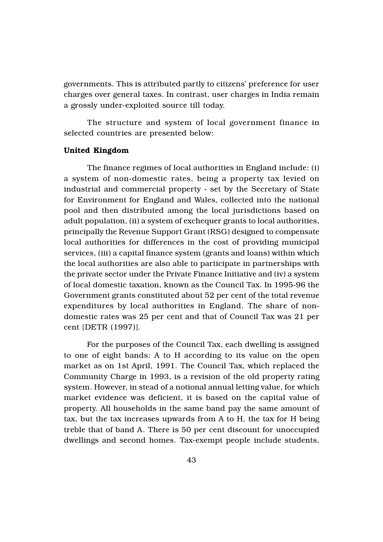governments. This is attributed partly to citizens' preference for user charges over general taxes. In contrast, user charges in India remain a grossly under-exploited source till today.

The structure and system of local government finance in selected countries are presented below:

#### United Kingdom

The finance regimes of local authorities in England include: (i) a system of non-domestic rates, being a property tax levied on industrial and commercial property - set by the Secretary of State for Environment for England and Wales, collected into the national pool and then distributed among the local jurisdictions based on adult population, (ii) a system of exchequer grants to local authorities, principally the Revenue Support Grant (RSG) designed to compensate local authorities for differences in the cost of providing municipal services, (iii) a capital finance system (grants and loans) within which the local authorities are also able to participate in partnerships with the private sector under the Private Finance Initiative and (iv) a system of local domestic taxation, known as the Council Tax. In 1995-96 the Government grants constituted about 52 per cent of the total revenue expenditures by local authorities in England. The share of nondomestic rates was 25 per cent and that of Council Tax was 21 per cent [DETR (1997)].

For the purposes of the Council Tax, each dwelling is assigned to one of eight bands: A to H according to its value on the open market as on 1st April, 1991. The Council Tax, which replaced the Community Charge in 1993, is a revision of the old property rating system. However, in stead of a notional annual letting value, for which market evidence was deficient, it is based on the capital value of property. All households in the same band pay the same amount of tax, but the tax increases upwards from A to H, the tax for H being treble that of band A. There is 50 per cent discount for unoccupied dwellings and second homes. Tax-exempt people include students,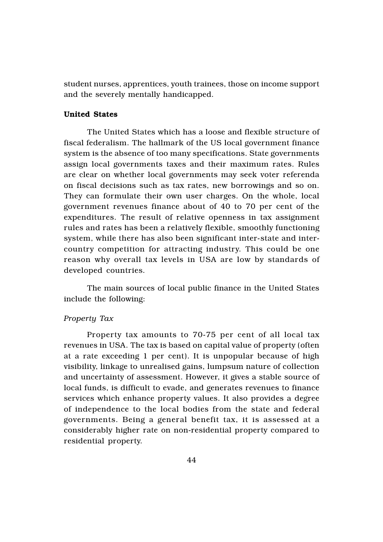student nurses, apprentices, youth trainees, those on income support and the severely mentally handicapped.

## United States

The United States which has a loose and flexible structure of fiscal federalism. The hallmark of the US local government finance system is the absence of too many specifications. State governments assign local governments taxes and their maximum rates. Rules are clear on whether local governments may seek voter referenda on fiscal decisions such as tax rates, new borrowings and so on. They can formulate their own user charges. On the whole, local government revenues finance about of 40 to 70 per cent of the expenditures. The result of relative openness in tax assignment rules and rates has been a relatively flexible, smoothly functioning system, while there has also been significant inter-state and intercountry competition for attracting industry. This could be one reason why overall tax levels in USA are low by standards of developed countries.

The main sources of local public finance in the United States include the following:

## *Property Tax*

Property tax amounts to 70-75 per cent of all local tax revenues in USA. The tax is based on capital value of property (often at a rate exceeding 1 per cent). It is unpopular because of high visibility, linkage to unrealised gains, lumpsum nature of collection and uncertainty of assessment. However, it gives a stable source of local funds, is difficult to evade, and generates revenues to finance services which enhance property values. It also provides a degree of independence to the local bodies from the state and federal governments. Being a general benefit tax, it is assessed at a considerably higher rate on non-residential property compared to residential property.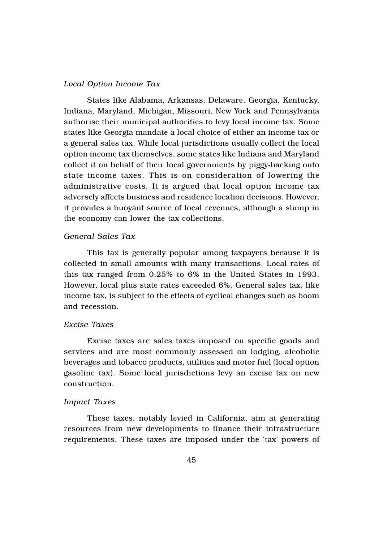#### *Local Option Income Tax*

States like Alabama, Arkansas, Delaware, Georgia, Kentucky, Indiana, Maryland, Michigan, Missouri, New York and Pennsylvania authorise their municipal authorities to levy local income tax. Some states like Georgia mandate a local choice of either an income tax or a general sales tax. While local jurisdictions usually collect the local option income tax themselves, some states like Indiana and Maryland collect it on behalf of their local governments by piggy-backing onto state income taxes. This is on consideration of lowering the administrative costs. It is argued that local option income tax adversely affects business and residence location decisions. However, it provides a buoyant source of local revenues, although a slump in the economy can lower the tax collections.

## *General Sales Tax*

This tax is generally popular among taxpayers because it is collected in small amounts with many transactions. Local rates of this tax ranged from 0.25% to 6% in the United States in 1993. However, local plus state rates exceeded 6%. General sales tax, like income tax, is subject to the effects of cyclical changes such as boom and recession.

#### *Excise Taxes*

Excise taxes are sales taxes imposed on specific goods and services and are most commonly assessed on lodging, alcoholic beverages and tobacco products, utilities and motor fuel (local option gasoline tax). Some local jurisdictions levy an excise tax on new construction.

#### *Impact Taxes*

These taxes, notably levied in California, aim at generating resources from new developments to finance their infrastructure requirements. These taxes are imposed under the 'tax' powers of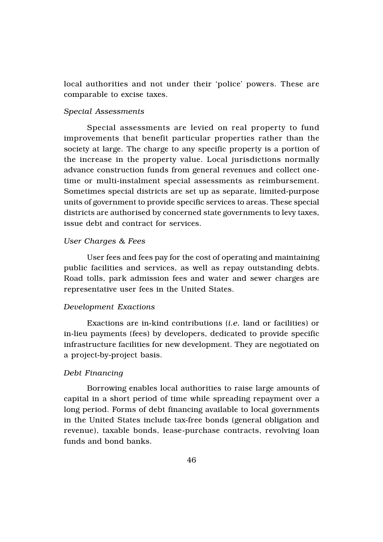local authorities and not under their 'police' powers. These are comparable to excise taxes.

#### *Special Assessments*

Special assessments are levied on real property to fund improvements that benefit particular properties rather than the society at large. The charge to any specific property is a portion of the increase in the property value. Local jurisdictions normally advance construction funds from general revenues and collect onetime or multi-instalment special assessments as reimbursement. Sometimes special districts are set up as separate, limited-purpose units of government to provide specific services to areas. These special districts are authorised by concerned state governments to levy taxes, issue debt and contract for services.

## *User Charges & Fees*

User fees and fees pay for the cost of operating and maintaining public facilities and services, as well as repay outstanding debts. Road tolls, park admission fees and water and sewer charges are representative user fees in the United States.

## *Development Exactions*

Exactions are in-kind contributions (*i.e.* land or facilities) or in-lieu payments (fees) by developers, dedicated to provide specific infrastructure facilities for new development. They are negotiated on a project-by-project basis.

#### *Debt Financing*

Borrowing enables local authorities to raise large amounts of capital in a short period of time while spreading repayment over a long period. Forms of debt financing available to local governments in the United States include tax-free bonds (general obligation and revenue), taxable bonds, lease-purchase contracts, revolving loan funds and bond banks.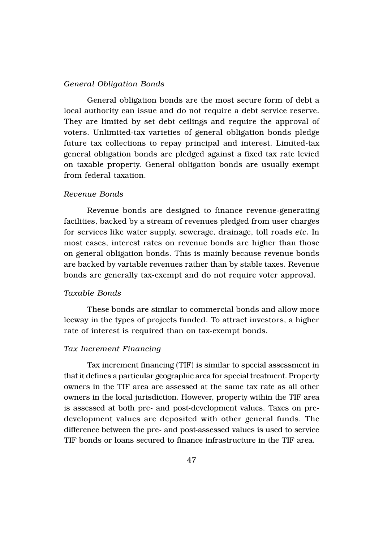## *General Obligation Bonds*

General obligation bonds are the most secure form of debt a local authority can issue and do not require a debt service reserve. They are limited by set debt ceilings and require the approval of voters. Unlimited-tax varieties of general obligation bonds pledge future tax collections to repay principal and interest. Limited-tax general obligation bonds are pledged against a fixed tax rate levied on taxable property. General obligation bonds are usually exempt from federal taxation.

## *Revenue Bonds*

Revenue bonds are designed to finance revenue-generating facilities, backed by a stream of revenues pledged from user charges for services like water supply, sewerage, drainage, toll roads *etc.* In most cases, interest rates on revenue bonds are higher than those on general obligation bonds. This is mainly because revenue bonds are backed by variable revenues rather than by stable taxes. Revenue bonds are generally tax-exempt and do not require voter approval.

## *Taxable Bonds*

These bonds are similar to commercial bonds and allow more leeway in the types of projects funded. To attract investors, a higher rate of interest is required than on tax-exempt bonds.

#### *Tax Increment Financing*

Tax increment financing (TIF) is similar to special assessment in that it defines a particular geographic area for special treatment. Property owners in the TIF area are assessed at the same tax rate as all other owners in the local jurisdiction. However, property within the TIF area is assessed at both pre- and post-development values. Taxes on predevelopment values are deposited with other general funds. The difference between the pre- and post-assessed values is used to service TIF bonds or loans secured to finance infrastructure in the TIF area.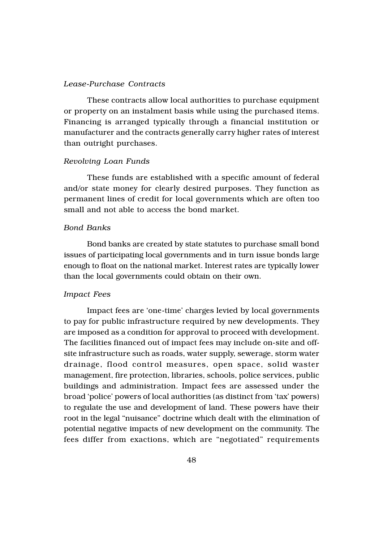#### *Lease-Purchase Contracts*

These contracts allow local authorities to purchase equipment or property on an instalment basis while using the purchased items. Financing is arranged typically through a financial institution or manufacturer and the contracts generally carry higher rates of interest than outright purchases.

#### *Revolving Loan Funds*

These funds are established with a specific amount of federal and/or state money for clearly desired purposes. They function as permanent lines of credit for local governments which are often too small and not able to access the bond market.

#### *Bond Banks*

Bond banks are created by state statutes to purchase small bond issues of participating local governments and in turn issue bonds large enough to float on the national market. Interest rates are typically lower than the local governments could obtain on their own.

## *Impact Fees*

Impact fees are 'one-time' charges levied by local governments to pay for public infrastructure required by new developments. They are imposed as a condition for approval to proceed with development. The facilities financed out of impact fees may include on-site and offsite infrastructure such as roads, water supply, sewerage, storm water drainage, flood control measures, open space, solid waster management, fire protection, libraries, schools, police services, public buildings and administration. Impact fees are assessed under the broad 'police' powers of local authorities (as distinct from 'tax' powers) to regulate the use and development of land. These powers have their root in the legal "nuisance" doctrine which dealt with the elimination of potential negative impacts of new development on the community. The fees differ from exactions, which are "negotiated" requirements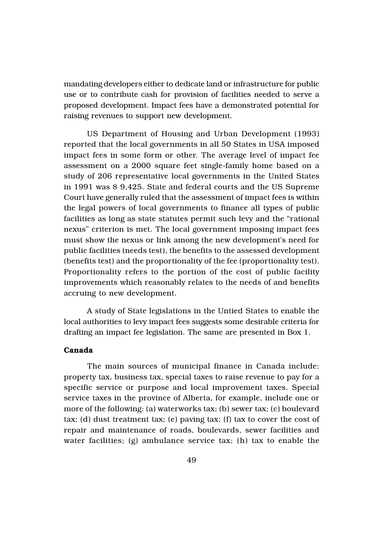mandating developers either to dedicate land or infrastructure for public use or to contribute cash for provision of facilities needed to serve a proposed development. Impact fees have a demonstrated potential for raising revenues to support new development.

US Department of Housing and Urban Development (1993) reported that the local governments in all 50 States in USA imposed impact fees in some form or other. The average level of impact fee assessment on a 2000 square feet single-family home based on a study of 206 representative local governments in the United States in 1991 was \$ 9,425. State and federal courts and the US Supreme Court have generally ruled that the assessment of impact fees is within the legal powers of local governments to finance all types of public facilities as long as state statutes permit such levy and the "rational nexus" criterion is met. The local government imposing impact fees must show the nexus or link among the new development's need for public facilities (needs test), the benefits to the assessed development (benefits test) and the proportionality of the fee (proportionality test). Proportionality refers to the portion of the cost of public facility improvements which reasonably relates to the needs of and benefits accruing to new development.

A study of State legislations in the Untied States to enable the local authorities to levy impact fees suggests some desirable criteria for drafting an impact fee legislation. The same are presented in Box 1.

## Canada

The main sources of municipal finance in Canada include: property tax, business tax, special taxes to raise revenue to pay for a specific service or purpose and local improvement taxes. Special service taxes in the province of Alberta, for example, include one or more of the following: (a) waterworks tax; (b) sewer tax; (c) boulevard tax; (d) dust treatment tax; (e) paving tax; (f) tax to cover the cost of repair and maintenance of roads, boulevards, sewer facilities and water facilities; (g) ambulance service tax; (h) tax to enable the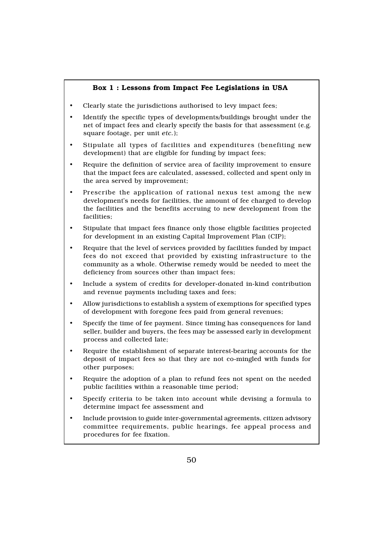## Box 1 : Lessons from Impact Fee Legislations in USA

- Clearly state the jurisdictions authorised to levy impact fees;
- Identify the specific types of developments/buildings brought under the net of impact fees and clearly specify the basis for that assessment (e.g. square footage, per unit *etc.*);
- Stipulate all types of facilities and expenditures (benefiting new development) that are eligible for funding by impact fees;
- Require the definition of service area of facility improvement to ensure that the impact fees are calculated, assessed, collected and spent only in the area served by improvement;
- Prescribe the application of rational nexus test among the new development's needs for facilities, the amount of fee charged to develop the facilities and the benefits accruing to new development from the facilities;
- Stipulate that impact fees finance only those eligible facilities projected for development in an existing Capital Improvement Plan (CIP);
- Require that the level of services provided by facilities funded by impact fees do not exceed that provided by existing infrastructure to the community as a whole. Otherwise remedy would be needed to meet the deficiency from sources other than impact fees;
- Include a system of credits for developer-donated in-kind contribution and revenue payments including taxes and fees;
- Allow jurisdictions to establish a system of exemptions for specified types of development with foregone fees paid from general revenues;
- Specify the time of fee payment. Since timing has consequences for land seller, builder and buyers, the fees may be assessed early in development process and collected late;
- Require the establishment of separate interest-bearing accounts for the deposit of impact fees so that they are not co-mingled with funds for other purposes;
- Require the adoption of a plan to refund fees not spent on the needed public facilities within a reasonable time period;
- Specify criteria to be taken into account while devising a formula to determine impact fee assessment and
- Include provision to guide inter-governmental agreements, citizen advisory committee requirements, public hearings, fee appeal process and procedures for fee fixation.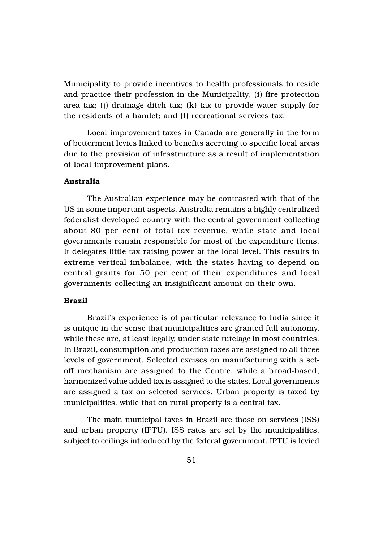Municipality to provide incentives to health professionals to reside and practice their profession in the Municipality; (i) fire protection area tax; (j) drainage ditch tax; (k) tax to provide water supply for the residents of a hamlet; and (l) recreational services tax.

Local improvement taxes in Canada are generally in the form of betterment levies linked to benefits accruing to specific local areas due to the provision of infrastructure as a result of implementation of local improvement plans.

# Australia

The Australian experience may be contrasted with that of the US in some important aspects. Australia remains a highly centralized federalist developed country with the central government collecting about 80 per cent of total tax revenue, while state and local governments remain responsible for most of the expenditure items. It delegates little tax raising power at the local level. This results in extreme vertical imbalance, with the states having to depend on central grants for 50 per cent of their expenditures and local governments collecting an insignificant amount on their own.

## Brazil

Brazil's experience is of particular relevance to India since it is unique in the sense that municipalities are granted full autonomy, while these are, at least legally, under state tutelage in most countries. In Brazil, consumption and production taxes are assigned to all three levels of government. Selected excises on manufacturing with a setoff mechanism are assigned to the Centre, while a broad-based, harmonized value added tax is assigned to the states. Local governments are assigned a tax on selected services. Urban property is taxed by municipalities, while that on rural property is a central tax.

The main municipal taxes in Brazil are those on services (ISS) and urban property (IPTU). ISS rates are set by the municipalities, subject to ceilings introduced by the federal government. IPTU is levied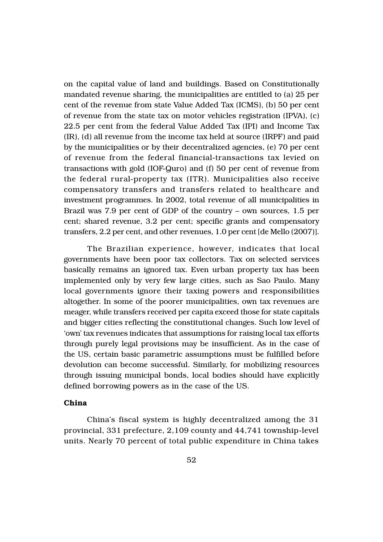on the capital value of land and buildings. Based on Constitutionally mandated revenue sharing, the municipalities are entitled to (a) 25 per cent of the revenue from state Value Added Tax (ICMS), (b) 50 per cent of revenue from the state tax on motor vehicles registration (IPVA), (c) 22.5 per cent from the federal Value Added Tax (IPI) and Income Tax (IR), (d) all revenue from the income tax held at source (IRPF) and paid by the municipalities or by their decentralized agencies, (e) 70 per cent of revenue from the federal financial-transactions tax levied on transactions with gold (IOF-Quro) and (f) 50 per cent of revenue from the federal rural-property tax (ITR). Municipalities also receive compensatory transfers and transfers related to healthcare and investment programmes. In 2002, total revenue of all municipalities in Brazil was 7.9 per cent of GDP of the country – own sources, 1.5 per cent; shared revenue, 3.2 per cent; specific grants and compensatory transfers, 2.2 per cent, and other revenues, 1.0 per cent [de Mello (2007)].

The Brazilian experience, however, indicates that local governments have been poor tax collectors. Tax on selected services basically remains an ignored tax. Even urban property tax has been implemented only by very few large cities, such as Sao Paulo. Many local governments ignore their taxing powers and responsibilities altogether. In some of the poorer municipalities, own tax revenues are meager, while transfers received per capita exceed those for state capitals and bigger cities reflecting the constitutional changes. Such low level of 'own' tax revenues indicates that assumptions for raising local tax efforts through purely legal provisions may be insufficient. As in the case of the US, certain basic parametric assumptions must be fulfilled before devolution can become successful. Similarly, for mobilizing resources through issuing municipal bonds, local bodies should have explicitly defined borrowing powers as in the case of the US.

## China

China's fiscal system is highly decentralized among the 31 provincial, 331 prefecture, 2,109 county and 44,741 township-level units. Nearly 70 percent of total public expenditure in China takes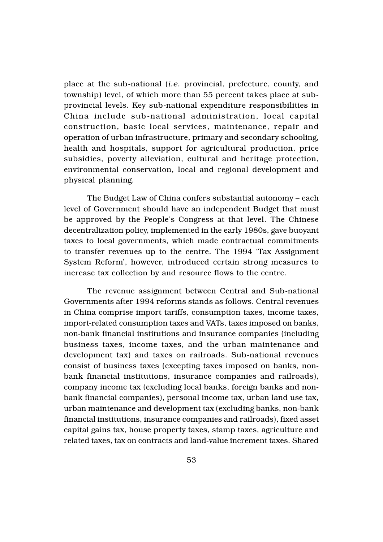place at the sub-national (*i.e.* provincial, prefecture, county, and township) level, of which more than 55 percent takes place at subprovincial levels. Key sub-national expenditure responsibilities in China include sub-national administration, local capital construction, basic local services, maintenance, repair and operation of urban infrastructure, primary and secondary schooling, health and hospitals, support for agricultural production, price subsidies, poverty alleviation, cultural and heritage protection, environmental conservation, local and regional development and physical planning.

The Budget Law of China confers substantial autonomy – each level of Government should have an independent Budget that must be approved by the People's Congress at that level. The Chinese decentralization policy, implemented in the early 1980s, gave buoyant taxes to local governments, which made contractual commitments to transfer revenues up to the centre. The 1994 'Tax Assignment System Reform', however, introduced certain strong measures to increase tax collection by and resource flows to the centre.

The revenue assignment between Central and Sub-national Governments after 1994 reforms stands as follows. Central revenues in China comprise import tariffs, consumption taxes, income taxes, import-related consumption taxes and VATs, taxes imposed on banks, non-bank financial institutions and insurance companies (including business taxes, income taxes, and the urban maintenance and development tax) and taxes on railroads. Sub-national revenues consist of business taxes (excepting taxes imposed on banks, nonbank financial institutions, insurance companies and railroads), company income tax (excluding local banks, foreign banks and nonbank financial companies), personal income tax, urban land use tax, urban maintenance and development tax (excluding banks, non-bank financial institutions, insurance companies and railroads), fixed asset capital gains tax, house property taxes, stamp taxes, agriculture and related taxes, tax on contracts and land-value increment taxes. Shared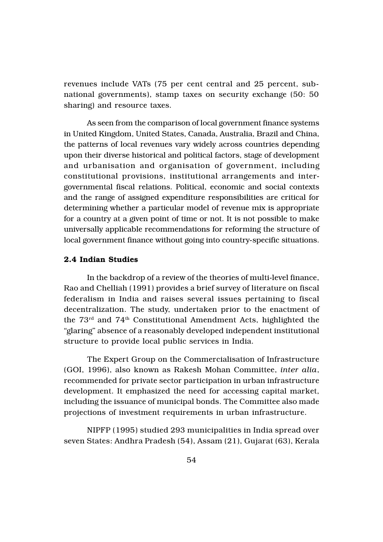revenues include VATs (75 per cent central and 25 percent, subnational governments), stamp taxes on security exchange (50: 50 sharing) and resource taxes.

As seen from the comparison of local government finance systems in United Kingdom, United States, Canada, Australia, Brazil and China, the patterns of local revenues vary widely across countries depending upon their diverse historical and political factors, stage of development and urbanisation and organisation of government, including constitutional provisions, institutional arrangements and intergovernmental fiscal relations. Political, economic and social contexts and the range of assigned expenditure responsibilities are critical for determining whether a particular model of revenue mix is appropriate for a country at a given point of time or not. It is not possible to make universally applicable recommendations for reforming the structure of local government finance without going into country-specific situations.

## 2.4 Indian Studies

In the backdrop of a review of the theories of multi-level finance, Rao and Chelliah (1991) provides a brief survey of literature on fiscal federalism in India and raises several issues pertaining to fiscal decentralization. The study, undertaken prior to the enactment of the 73rd and 74th Constitutional Amendment Acts, highlighted the "glaring" absence of a reasonably developed independent institutional structure to provide local public services in India.

The Expert Group on the Commercialisation of Infrastructure (GOI, 1996), also known as Rakesh Mohan Committee, *inter alia*, recommended for private sector participation in urban infrastructure development. It emphasized the need for accessing capital market, including the issuance of municipal bonds. The Committee also made projections of investment requirements in urban infrastructure.

NIPFP (1995) studied 293 municipalities in India spread over seven States: Andhra Pradesh (54), Assam (21), Gujarat (63), Kerala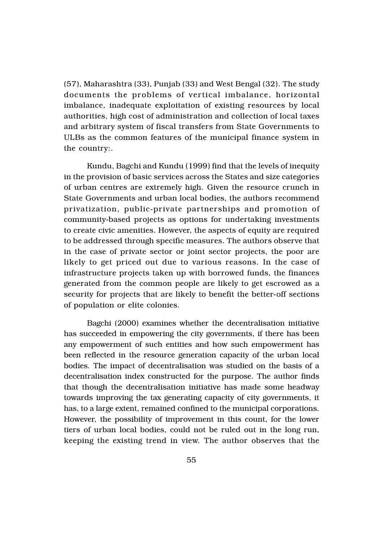(57), Maharashtra (33), Punjab (33) and West Bengal (32). The study documents the problems of vertical imbalance, horizontal imbalance, inadequate exploitation of existing resources by local authorities, high cost of administration and collection of local taxes and arbitrary system of fiscal transfers from State Governments to ULBs as the common features of the municipal finance system in the country:.

Kundu, Bagchi and Kundu (1999) find that the levels of inequity in the provision of basic services across the States and size categories of urban centres are extremely high. Given the resource crunch in State Governments and urban local bodies, the authors recommend privatization, public-private partnerships and promotion of community-based projects as options for undertaking investments to create civic amenities. However, the aspects of equity are required to be addressed through specific measures. The authors observe that in the case of private sector or joint sector projects, the poor are likely to get priced out due to various reasons. In the case of infrastructure projects taken up with borrowed funds, the finances generated from the common people are likely to get escrowed as a security for projects that are likely to benefit the better-off sections of population or elite colonies.

Bagchi (2000) examines whether the decentralisation initiative has succeeded in empowering the city governments, if there has been any empowerment of such entities and how such empowerment has been reflected in the resource generation capacity of the urban local bodies. The impact of decentralisation was studied on the basis of a decentralisation index constructed for the purpose. The author finds that though the decentralisation initiative has made some headway towards improving the tax generating capacity of city governments, it has, to a large extent, remained confined to the municipal corporations. However, the possibility of improvement in this count, for the lower tiers of urban local bodies, could not be ruled out in the long run, keeping the existing trend in view. The author observes that the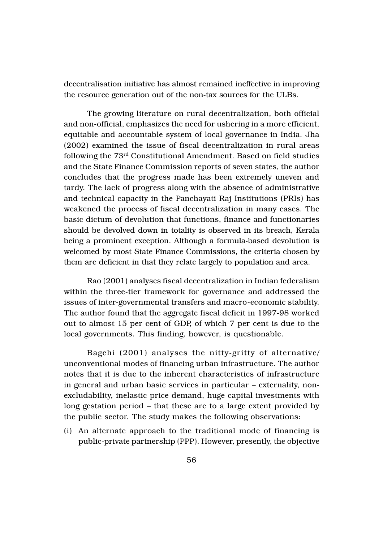decentralisation initiative has almost remained ineffective in improving the resource generation out of the non-tax sources for the ULBs.

The growing literature on rural decentralization, both official and non-official, emphasizes the need for ushering in a more efficient, equitable and accountable system of local governance in India. Jha (2002) examined the issue of fiscal decentralization in rural areas following the 73rd Constitutional Amendment. Based on field studies and the State Finance Commission reports of seven states, the author concludes that the progress made has been extremely uneven and tardy. The lack of progress along with the absence of administrative and technical capacity in the Panchayati Raj Institutions (PRIs) has weakened the process of fiscal decentralization in many cases. The basic dictum of devolution that functions, finance and functionaries should be devolved down in totality is observed in its breach, Kerala being a prominent exception. Although a formula-based devolution is welcomed by most State Finance Commissions, the criteria chosen by them are deficient in that they relate largely to population and area.

Rao (2001) analyses fiscal decentralization in Indian federalism within the three-tier framework for governance and addressed the issues of inter-governmental transfers and macro-economic stability. The author found that the aggregate fiscal deficit in 1997-98 worked out to almost 15 per cent of GDP, of which 7 per cent is due to the local governments. This finding, however, is questionable.

Bagchi (2001) analyses the nitty-gritty of alternative/ unconventional modes of financing urban infrastructure. The author notes that it is due to the inherent characteristics of infrastructure in general and urban basic services in particular – externality, nonexcludability, inelastic price demand, huge capital investments with long gestation period – that these are to a large extent provided by the public sector. The study makes the following observations:

(i) An alternate approach to the traditional mode of financing is public-private partnership (PPP). However, presently, the objective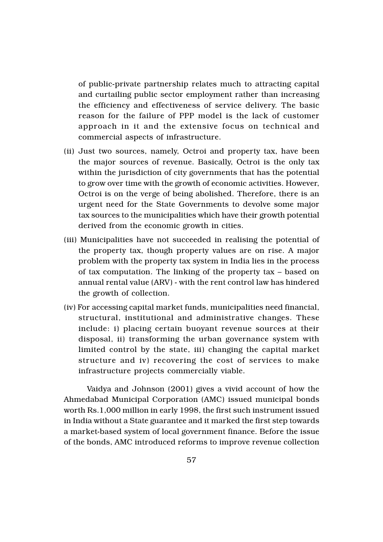of public-private partnership relates much to attracting capital and curtailing public sector employment rather than increasing the efficiency and effectiveness of service delivery. The basic reason for the failure of PPP model is the lack of customer approach in it and the extensive focus on technical and commercial aspects of infrastructure.

- (ii) Just two sources, namely, Octroi and property tax, have been the major sources of revenue. Basically, Octroi is the only tax within the jurisdiction of city governments that has the potential to grow over time with the growth of economic activities. However, Octroi is on the verge of being abolished. Therefore, there is an urgent need for the State Governments to devolve some major tax sources to the municipalities which have their growth potential derived from the economic growth in cities.
- (iii) Municipalities have not succeeded in realising the potential of the property tax, though property values are on rise. A major problem with the property tax system in India lies in the process of tax computation. The linking of the property tax – based on annual rental value (ARV) - with the rent control law has hindered the growth of collection.
- (iv) For accessing capital market funds, municipalities need financial, structural, institutional and administrative changes. These include: i) placing certain buoyant revenue sources at their disposal, ii) transforming the urban governance system with limited control by the state, iii) changing the capital market structure and iv) recovering the cost of services to make infrastructure projects commercially viable.

Vaidya and Johnson (2001) gives a vivid account of how the Ahmedabad Municipal Corporation (AMC) issued municipal bonds worth Rs.1,000 million in early 1998, the first such instrument issued in India without a State guarantee and it marked the first step towards a market-based system of local government finance. Before the issue of the bonds, AMC introduced reforms to improve revenue collection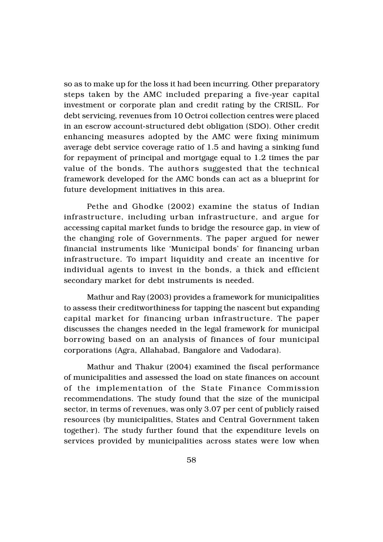so as to make up for the loss it had been incurring. Other preparatory steps taken by the AMC included preparing a five-year capital investment or corporate plan and credit rating by the CRISIL. For debt servicing, revenues from 10 Octroi collection centres were placed in an escrow account-structured debt obligation (SDO). Other credit enhancing measures adopted by the AMC were fixing minimum average debt service coverage ratio of 1.5 and having a sinking fund for repayment of principal and mortgage equal to 1.2 times the par value of the bonds. The authors suggested that the technical framework developed for the AMC bonds can act as a blueprint for future development initiatives in this area.

Pethe and Ghodke (2002) examine the status of Indian infrastructure, including urban infrastructure, and argue for accessing capital market funds to bridge the resource gap, in view of the changing role of Governments. The paper argued for newer financial instruments like 'Municipal bonds' for financing urban infrastructure. To impart liquidity and create an incentive for individual agents to invest in the bonds, a thick and efficient secondary market for debt instruments is needed.

Mathur and Ray (2003) provides a framework for municipalities to assess their creditworthiness for tapping the nascent but expanding capital market for financing urban infrastructure. The paper discusses the changes needed in the legal framework for municipal borrowing based on an analysis of finances of four municipal corporations (Agra, Allahabad, Bangalore and Vadodara).

Mathur and Thakur (2004) examined the fiscal performance of municipalities and assessed the load on state finances on account of the implementation of the State Finance Commission recommendations. The study found that the size of the municipal sector, in terms of revenues, was only 3.07 per cent of publicly raised resources (by municipalities, States and Central Government taken together). The study further found that the expenditure levels on services provided by municipalities across states were low when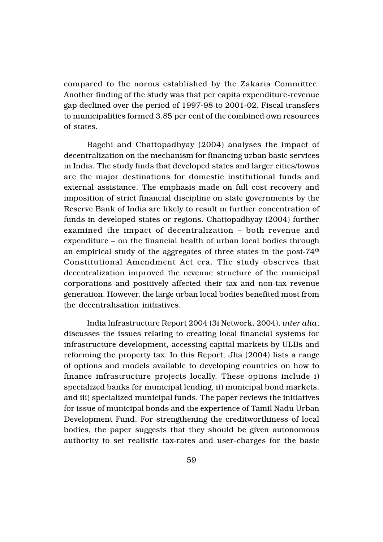compared to the norms established by the Zakaria Committee. Another finding of the study was that per capita expenditure-revenue gap declined over the period of 1997-98 to 2001-02. Fiscal transfers to municipalities formed 3.85 per cent of the combined own resources of states.

Bagchi and Chattopadhyay (2004) analyses the impact of decentralization on the mechanism for financing urban basic services in India. The study finds that developed states and larger cities/towns are the major destinations for domestic institutional funds and external assistance. The emphasis made on full cost recovery and imposition of strict financial discipline on state governments by the Reserve Bank of India are likely to result in further concentration of funds in developed states or regions. Chattopadhyay (2004) further examined the impact of decentralization – both revenue and expenditure – on the financial health of urban local bodies through an empirical study of the aggregates of three states in the post- $74<sup>th</sup>$ Constitutional Amendment Act era. The study observes that decentralization improved the revenue structure of the municipal corporations and positively affected their tax and non-tax revenue generation. However, the large urban local bodies benefited most from the decentralisation initiatives.

India Infrastructure Report 2004 (3i Network, 2004), *inter alia*, discusses the issues relating to creating local financial systems for infrastructure development, accessing capital markets by ULBs and reforming the property tax. In this Report, Jha (2004) lists a range of options and models available to developing countries on how to finance infrastructure projects locally. These options include i) specialized banks for municipal lending, ii) municipal bond markets, and iii) specialized municipal funds. The paper reviews the initiatives for issue of municipal bonds and the experience of Tamil Nadu Urban Development Fund. For strengthening the creditworthiness of local bodies, the paper suggests that they should be given autonomous authority to set realistic tax-rates and user-charges for the basic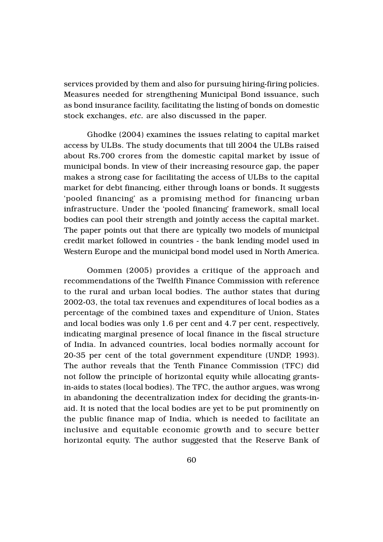services provided by them and also for pursuing hiring-firing policies. Measures needed for strengthening Municipal Bond issuance, such as bond insurance facility, facilitating the listing of bonds on domestic stock exchanges, *etc.* are also discussed in the paper.

Ghodke (2004) examines the issues relating to capital market access by ULBs. The study documents that till 2004 the ULBs raised about Rs.700 crores from the domestic capital market by issue of municipal bonds. In view of their increasing resource gap, the paper makes a strong case for facilitating the access of ULBs to the capital market for debt financing, either through loans or bonds. It suggests 'pooled financing' as a promising method for financing urban infrastructure. Under the 'pooled financing' framework, small local bodies can pool their strength and jointly access the capital market. The paper points out that there are typically two models of municipal credit market followed in countries - the bank lending model used in Western Europe and the municipal bond model used in North America.

Oommen (2005) provides a critique of the approach and recommendations of the Twelfth Finance Commission with reference to the rural and urban local bodies. The author states that during 2002-03, the total tax revenues and expenditures of local bodies as a percentage of the combined taxes and expenditure of Union, States and local bodies was only 1.6 per cent and 4.7 per cent, respectively, indicating marginal presence of local finance in the fiscal structure of India. In advanced countries, local bodies normally account for 20-35 per cent of the total government expenditure (UNDP, 1993). The author reveals that the Tenth Finance Commission (TFC) did not follow the principle of horizontal equity while allocating grantsin-aids to states (local bodies). The TFC, the author argues, was wrong in abandoning the decentralization index for deciding the grants-inaid. It is noted that the local bodies are yet to be put prominently on the public finance map of India, which is needed to facilitate an inclusive and equitable economic growth and to secure better horizontal equity. The author suggested that the Reserve Bank of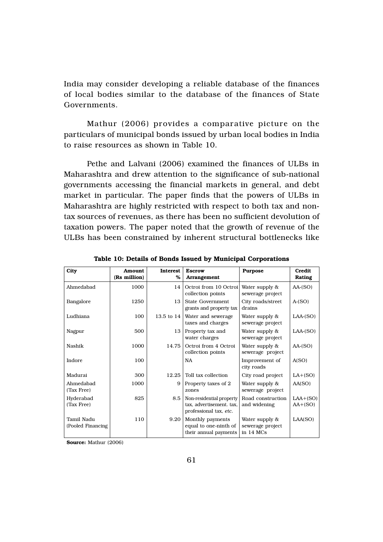India may consider developing a reliable database of the finances of local bodies similar to the database of the finances of State Governments.

Mathur (2006) provides a comparative picture on the particulars of municipal bonds issued by urban local bodies in India to raise resources as shown in Table 10.

Pethe and Lalvani (2006) examined the finances of ULBs in Maharashtra and drew attention to the significance of sub-national governments accessing the financial markets in general, and debt market in particular. The paper finds that the powers of ULBs in Maharashtra are highly restricted with respect to both tax and nontax sources of revenues, as there has been no sufficient devolution of taxation powers. The paper noted that the growth of revenue of the ULBs has been constrained by inherent structural bottlenecks like

| City                            | <b>Amount</b><br>(Rs million) | <b>Interest</b><br>% | <b>Escrow</b><br>Arrangement                                                   | <b>Purpose</b>                                    | Credit<br>Rating        |
|---------------------------------|-------------------------------|----------------------|--------------------------------------------------------------------------------|---------------------------------------------------|-------------------------|
| Ahmedabad                       | 1000                          | 14                   | Octroi from 10 Octroi<br>collection points                                     | Water supply &<br>sewerage project                | $AA-(SO)$               |
| Bangalore                       | 1250                          | 13                   | State Government<br>grants and property tax                                    | City roads/street<br>drains                       | $A-(SO)$                |
| Ludhiana                        | 100                           | 13.5 to 14           | Water and sewerage<br>taxes and charges                                        | Water supply &<br>sewerage project                | $LAA$ - $(SO)$          |
| Nagpur                          | 500                           | 13                   | Property tax and<br>water charges                                              | Water supply &<br>sewerage project                | $LAA$ - $(SO)$          |
| Nashik                          | 1000                          | 14.75                | Octroi from 4 Octroi<br>collection points                                      | Water supply &<br>sewerage project                | $AA-(SO)$               |
| Indore                          | 100                           |                      | <b>NA</b>                                                                      | Improvement of<br>city roads                      | A(SO)                   |
| Madurai                         | 300                           | 12.25                | Toll tax collection                                                            | City road project                                 | $LA+(SO)$               |
| Ahmedabad<br>(Tax Free)         | 1000                          | 9                    | Property taxes of 2<br>zones                                                   | Water supply &<br>sewerage project                | AA(SO)                  |
| Hyderabad<br>(Tax Free)         | 825                           | 8.5                  | Non-residential property<br>tax, advertisement. tax.<br>professional tax, etc. | Road construction<br>and widening                 | $LAA+(SO)$<br>$AA+(SO)$ |
| Tamil Nadu<br>(Pooled Financing | 110                           | 9.20                 | Monthly payments<br>equal to one-ninth of<br>their annual payments             | Water supply &<br>sewerage project<br>in $14$ MCs | LAA(SO)                 |

Table 10: Details of Bonds Issued by Municipal Corporations

Source: Mathur (2006)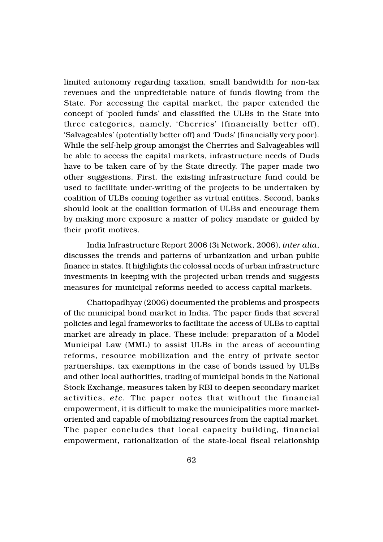limited autonomy regarding taxation, small bandwidth for non-tax revenues and the unpredictable nature of funds flowing from the State. For accessing the capital market, the paper extended the concept of 'pooled funds' and classified the ULBs in the State into three categories, namely, 'Cherries' (financially better off), 'Salvageables' (potentially better off) and 'Duds' (financially very poor). While the self-help group amongst the Cherries and Salvageables will be able to access the capital markets, infrastructure needs of Duds have to be taken care of by the State directly. The paper made two other suggestions. First, the existing infrastructure fund could be used to facilitate under-writing of the projects to be undertaken by coalition of ULBs coming together as virtual entities. Second, banks should look at the coalition formation of ULBs and encourage them by making more exposure a matter of policy mandate or guided by their profit motives.

India Infrastructure Report 2006 (3i Network, 2006), *inter alia*, discusses the trends and patterns of urbanization and urban public finance in states. It highlights the colossal needs of urban infrastructure investments in keeping with the projected urban trends and suggests measures for municipal reforms needed to access capital markets.

Chattopadhyay (2006) documented the problems and prospects of the municipal bond market in India. The paper finds that several policies and legal frameworks to facilitate the access of ULBs to capital market are already in place. These include: preparation of a Model Municipal Law (MML) to assist ULBs in the areas of accounting reforms, resource mobilization and the entry of private sector partnerships, tax exemptions in the case of bonds issued by ULBs and other local authorities, trading of municipal bonds in the National Stock Exchange, measures taken by RBI to deepen secondary market activities, *etc.* The paper notes that without the financial empowerment, it is difficult to make the municipalities more marketoriented and capable of mobilizing resources from the capital market. The paper concludes that local capacity building, financial empowerment, rationalization of the state-local fiscal relationship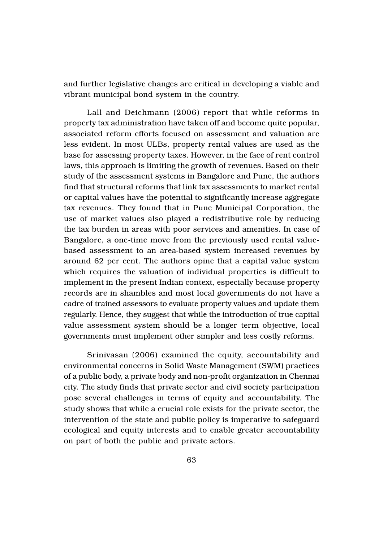and further legislative changes are critical in developing a viable and vibrant municipal bond system in the country.

Lall and Deichmann (2006) report that while reforms in property tax administration have taken off and become quite popular, associated reform efforts focused on assessment and valuation are less evident. In most ULBs, property rental values are used as the base for assessing property taxes. However, in the face of rent control laws, this approach is limiting the growth of revenues. Based on their study of the assessment systems in Bangalore and Pune, the authors find that structural reforms that link tax assessments to market rental or capital values have the potential to significantly increase aggregate tax revenues. They found that in Pune Municipal Corporation, the use of market values also played a redistributive role by reducing the tax burden in areas with poor services and amenities. In case of Bangalore, a one-time move from the previously used rental valuebased assessment to an area-based system increased revenues by around 62 per cent. The authors opine that a capital value system which requires the valuation of individual properties is difficult to implement in the present Indian context, especially because property records are in shambles and most local governments do not have a cadre of trained assessors to evaluate property values and update them regularly. Hence, they suggest that while the introduction of true capital value assessment system should be a longer term objective, local governments must implement other simpler and less costly reforms.

Srinivasan (2006) examined the equity, accountability and environmental concerns in Solid Waste Management (SWM) practices of a public body, a private body and non-profit organization in Chennai city. The study finds that private sector and civil society participation pose several challenges in terms of equity and accountability. The study shows that while a crucial role exists for the private sector, the intervention of the state and public policy is imperative to safeguard ecological and equity interests and to enable greater accountability on part of both the public and private actors.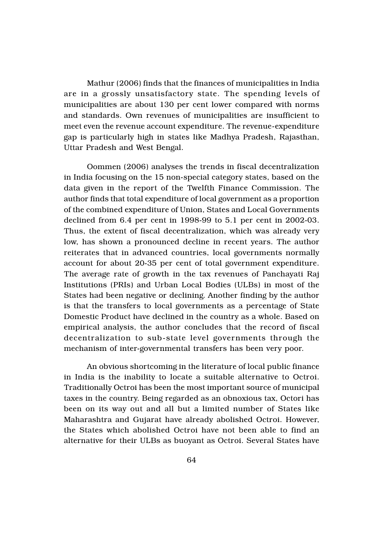Mathur (2006) finds that the finances of municipalities in India are in a grossly unsatisfactory state. The spending levels of municipalities are about 130 per cent lower compared with norms and standards. Own revenues of municipalities are insufficient to meet even the revenue account expenditure. The revenue-expenditure gap is particularly high in states like Madhya Pradesh, Rajasthan, Uttar Pradesh and West Bengal.

Oommen (2006) analyses the trends in fiscal decentralization in India focusing on the 15 non-special category states, based on the data given in the report of the Twelfth Finance Commission. The author finds that total expenditure of local government as a proportion of the combined expenditure of Union, States and Local Governments declined from 6.4 per cent in 1998-99 to 5.1 per cent in 2002-03. Thus, the extent of fiscal decentralization, which was already very low, has shown a pronounced decline in recent years. The author reiterates that in advanced countries, local governments normally account for about 20-35 per cent of total government expenditure. The average rate of growth in the tax revenues of Panchayati Raj Institutions (PRIs) and Urban Local Bodies (ULBs) in most of the States had been negative or declining. Another finding by the author is that the transfers to local governments as a percentage of State Domestic Product have declined in the country as a whole. Based on empirical analysis, the author concludes that the record of fiscal decentralization to sub-state level governments through the mechanism of inter-governmental transfers has been very poor.

An obvious shortcoming in the literature of local public finance in India is the inability to locate a suitable alternative to Octroi. Traditionally Octroi has been the most important source of municipal taxes in the country. Being regarded as an obnoxious tax, Octori has been on its way out and all but a limited number of States like Maharashtra and Gujarat have already abolished Octroi. However, the States which abolished Octroi have not been able to find an alternative for their ULBs as buoyant as Octroi. Several States have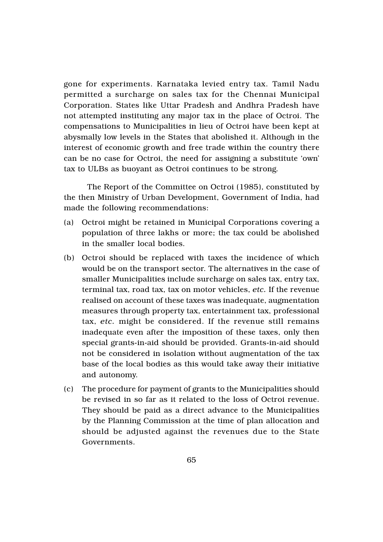gone for experiments. Karnataka levied entry tax. Tamil Nadu permitted a surcharge on sales tax for the Chennai Municipal Corporation. States like Uttar Pradesh and Andhra Pradesh have not attempted instituting any major tax in the place of Octroi. The compensations to Municipalities in lieu of Octroi have been kept at abysmally low levels in the States that abolished it. Although in the interest of economic growth and free trade within the country there can be no case for Octroi, the need for assigning a substitute 'own' tax to ULBs as buoyant as Octroi continues to be strong.

The Report of the Committee on Octroi (1985), constituted by the then Ministry of Urban Development, Government of India, had made the following recommendations:

- (a) Octroi might be retained in Municipal Corporations covering a population of three lakhs or more; the tax could be abolished in the smaller local bodies.
- (b) Octroi should be replaced with taxes the incidence of which would be on the transport sector. The alternatives in the case of smaller Municipalities include surcharge on sales tax, entry tax, terminal tax, road tax, tax on motor vehicles, *etc.* If the revenue realised on account of these taxes was inadequate, augmentation measures through property tax, entertainment tax, professional tax, *etc.* might be considered. If the revenue still remains inadequate even after the imposition of these taxes, only then special grants-in-aid should be provided. Grants-in-aid should not be considered in isolation without augmentation of the tax base of the local bodies as this would take away their initiative and autonomy.
- (c) The procedure for payment of grants to the Municipalities should be revised in so far as it related to the loss of Octroi revenue. They should be paid as a direct advance to the Municipalities by the Planning Commission at the time of plan allocation and should be adjusted against the revenues due to the State Governments.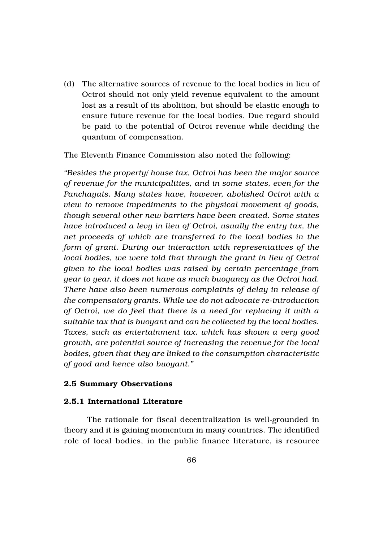(d) The alternative sources of revenue to the local bodies in lieu of Octroi should not only yield revenue equivalent to the amount lost as a result of its abolition, but should be elastic enough to ensure future revenue for the local bodies. Due regard should be paid to the potential of Octroi revenue while deciding the quantum of compensation.

The Eleventh Finance Commission also noted the following:

*"Besides the property/ house tax, Octroi has been the major source of revenue for the municipalities, and in some states, even for the Panchayats. Many states have, however, abolished Octroi with a view to remove impediments to the physical movement of goods, though several other new barriers have been created. Some states have introduced a levy in lieu of Octroi, usually the entry tax, the net proceeds of which are transferred to the local bodies in the form of grant. During our interaction with representatives of the local bodies, we were told that through the grant in lieu of Octroi given to the local bodies was raised by certain percentage from year to year, it does not have as much buoyancy as the Octroi had. There have also been numerous complaints of delay in release of the compensatory grants. While we do not advocate re-introduction of Octroi, we do feel that there is a need for replacing it with a suitable tax that is buoyant and can be collected by the local bodies. Taxes, such as entertainment tax, which has shown a very good growth, are potential source of increasing the revenue for the local bodies, given that they are linked to the consumption characteristic of good and hence also buoyant."*

#### 2.5 Summary Observations

## 2.5.1 International Literature

The rationale for fiscal decentralization is well-grounded in theory and it is gaining momentum in many countries. The identified role of local bodies, in the public finance literature, is resource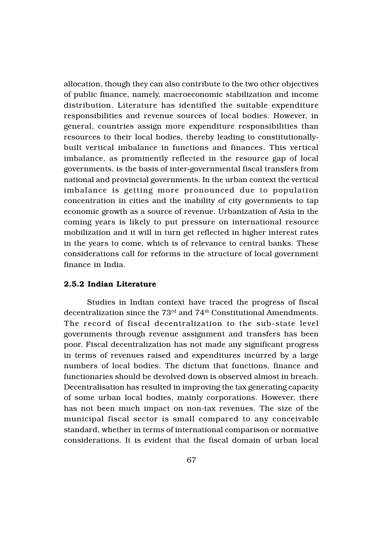allocation, though they can also contribute to the two other objectives of public finance, namely, macroeconomic stabilization and income distribution. Literature has identified the suitable expenditure responsibilities and revenue sources of local bodies. However, in general, countries assign more expenditure responsibilities than resources to their local bodies, thereby leading to constitutionallybuilt vertical imbalance in functions and finances. This vertical imbalance, as prominently reflected in the resource gap of local governments, is the basis of inter-governmental fiscal transfers from national and provincial governments. In the urban context the vertical imbalance is getting more pronounced due to population concentration in cities and the inability of city governments to tap economic growth as a source of revenue. Urbanization of Asia in the coming years is likely to put pressure on international resource mobilization and it will in turn get reflected in higher interest rates in the years to come, which is of relevance to central banks. These considerations call for reforms in the structure of local government finance in India.

#### 2.5.2 Indian Literature

Studies in Indian context have traced the progress of fiscal decentralization since the  $73<sup>rd</sup>$  and  $74<sup>th</sup>$  Constitutional Amendments. The record of fiscal decentralization to the sub-state level governments through revenue assignment and transfers has been poor. Fiscal decentralization has not made any significant progress in terms of revenues raised and expenditures incurred by a large numbers of local bodies. The dictum that functions, finance and functionaries should be devolved down is observed almost in breach. Decentralisation has resulted in improving the tax generating capacity of some urban local bodies, mainly corporations. However, there has not been much impact on non-tax revenues. The size of the municipal fiscal sector is small compared to any conceivable standard, whether in terms of international comparison or normative considerations. It is evident that the fiscal domain of urban local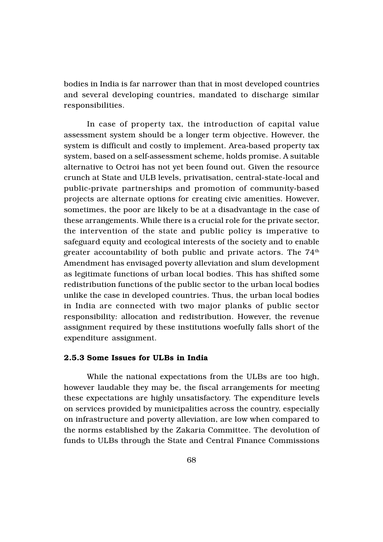bodies in India is far narrower than that in most developed countries and several developing countries, mandated to discharge similar responsibilities.

In case of property tax, the introduction of capital value assessment system should be a longer term objective. However, the system is difficult and costly to implement. Area-based property tax system, based on a self-assessment scheme, holds promise. A suitable alternative to Octroi has not yet been found out. Given the resource crunch at State and ULB levels, privatisation, central-state-local and public-private partnerships and promotion of community-based projects are alternate options for creating civic amenities. However, sometimes, the poor are likely to be at a disadvantage in the case of these arrangements. While there is a crucial role for the private sector, the intervention of the state and public policy is imperative to safeguard equity and ecological interests of the society and to enable greater accountability of both public and private actors. The  $74<sup>th</sup>$ Amendment has envisaged poverty alleviation and slum development as legitimate functions of urban local bodies. This has shifted some redistribution functions of the public sector to the urban local bodies unlike the case in developed countries. Thus, the urban local bodies in India are connected with two major planks of public sector responsibility: allocation and redistribution. However, the revenue assignment required by these institutions woefully falls short of the expenditure assignment.

### 2.5.3 Some Issues for ULBs in India

While the national expectations from the ULBs are too high, however laudable they may be, the fiscal arrangements for meeting these expectations are highly unsatisfactory. The expenditure levels on services provided by municipalities across the country, especially on infrastructure and poverty alleviation, are low when compared to the norms established by the Zakaria Committee. The devolution of funds to ULBs through the State and Central Finance Commissions